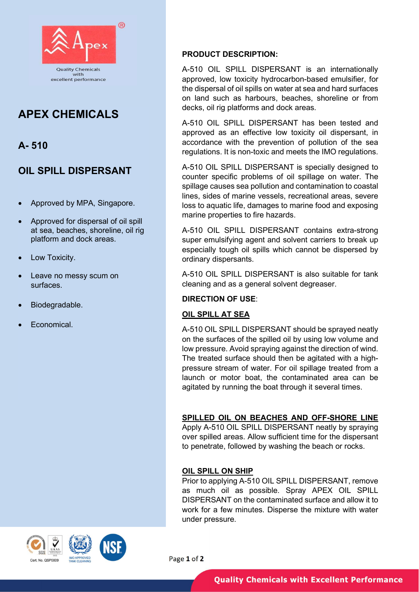

# APEX CHEMICALS

## A- 510

## OIL SPILL DISPERSANT

- Approved by MPA, Singapore.
- Approved for dispersal of oil spill at sea, beaches, shoreline, oil rig platform and dock areas.
- Low Toxicity.
- Leave no messy scum on surfaces.
- Biodegradable.
- Economical.

#### PRODUCT DESCRIPTION:

A-510 OIL SPILL DISPERSANT is an internationally approved, low toxicity hydrocarbon-based emulsifier, for the dispersal of oil spills on water at sea and hard surfaces on land such as harbours, beaches, shoreline or from decks, oil rig platforms and dock areas.

A-510 OIL SPILL DISPERSANT has been tested and approved as an effective low toxicity oil dispersant, in accordance with the prevention of pollution of the sea regulations. It is non-toxic and meets the IMO regulations.

A-510 OIL SPILL DISPERSANT is specially designed to counter specific problems of oil spillage on water. The spillage causes sea pollution and contamination to coastal lines, sides of marine vessels, recreational areas, severe loss to aquatic life, damages to marine food and exposing marine properties to fire hazards.

A-510 OIL SPILL DISPERSANT contains extra-strong super emulsifying agent and solvent carriers to break up especially tough oil spills which cannot be dispersed by ordinary dispersants.

A-510 OIL SPILL DISPERSANT is also suitable for tank cleaning and as a general solvent degreaser.

### DIRECTION OF USE:

#### OIL SPILL AT SEA

A-510 OIL SPILL DISPERSANT should be sprayed neatly on the surfaces of the spilled oil by using low volume and low pressure. Avoid spraying against the direction of wind. The treated surface should then be agitated with a highpressure stream of water. For oil spillage treated from a launch or motor boat, the contaminated area can be agitated by running the boat through it several times.

#### SPILLED OIL ON BEACHES AND OFF-SHORE LINE

Apply A-510 OIL SPILL DISPERSANT neatly by spraying over spilled areas. Allow sufficient time for the dispersant to penetrate, followed by washing the beach or rocks.

#### OIL SPILL ON SHIP

Prior to applying A-510 OIL SPILL DISPERSANT, remove as much oil as possible. Spray APEX OIL SPILL DISPERSANT on the contaminated surface and allow it to work for a few minutes. Disperse the mixture with water under pressure.